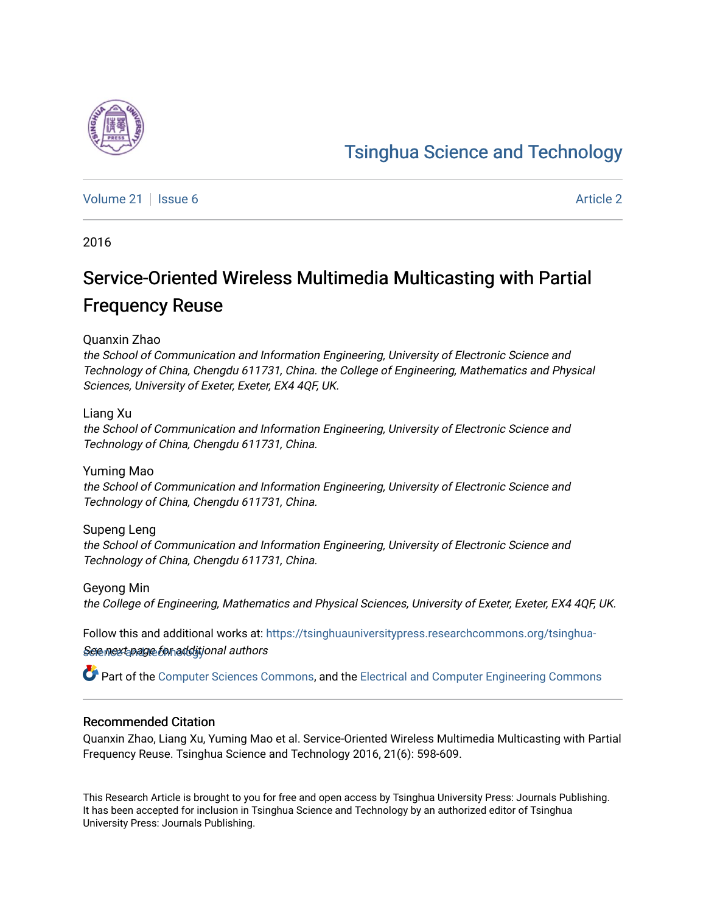# [Tsinghua Science and Technology](https://tsinghuauniversitypress.researchcommons.org/tsinghua-science-and-technology)



[Volume 21](https://tsinghuauniversitypress.researchcommons.org/tsinghua-science-and-technology/vol21) | [Issue 6](https://tsinghuauniversitypress.researchcommons.org/tsinghua-science-and-technology/vol21/iss6) [Article 2](https://tsinghuauniversitypress.researchcommons.org/tsinghua-science-and-technology/vol21/iss6/2) | Article 2 | Article 2 | Article 2 | Article 2 | Article 2 | Article 2 | Article 2

2016

# Service-Oriented Wireless Multimedia Multicasting with Partial Frequency Reuse

## Quanxin Zhao

the School of Communication and Information Engineering, University of Electronic Science and Technology of China, Chengdu 611731, China. the College of Engineering, Mathematics and Physical Sciences, University of Exeter, Exeter, EX4 4QF, UK.

## Liang Xu

the School of Communication and Information Engineering, University of Electronic Science and Technology of China, Chengdu 611731, China.

Yuming Mao

the School of Communication and Information Engineering, University of Electronic Science and Technology of China, Chengdu 611731, China.

Supeng Leng

the School of Communication and Information Engineering, University of Electronic Science and Technology of China, Chengdu 611731, China.

Geyong Min the College of Engineering, Mathematics and Physical Sciences, University of Exeter, Exeter, EX4 4QF, UK.

Seenext page for additjonal authors Follow this and additional works at: [https://tsinghuauniversitypress.researchcommons.org/tsinghua-](https://tsinghuauniversitypress.researchcommons.org/tsinghua-science-and-technology?utm_source=tsinghuauniversitypress.researchcommons.org%2Ftsinghua-science-and-technology%2Fvol21%2Fiss6%2F2&utm_medium=PDF&utm_campaign=PDFCoverPages)

Part of the [Computer Sciences Commons](http://network.bepress.com/hgg/discipline/142?utm_source=tsinghuauniversitypress.researchcommons.org%2Ftsinghua-science-and-technology%2Fvol21%2Fiss6%2F2&utm_medium=PDF&utm_campaign=PDFCoverPages), and the [Electrical and Computer Engineering Commons](http://network.bepress.com/hgg/discipline/266?utm_source=tsinghuauniversitypress.researchcommons.org%2Ftsinghua-science-and-technology%2Fvol21%2Fiss6%2F2&utm_medium=PDF&utm_campaign=PDFCoverPages)

## Recommended Citation

Quanxin Zhao, Liang Xu, Yuming Mao et al. Service-Oriented Wireless Multimedia Multicasting with Partial Frequency Reuse. Tsinghua Science and Technology 2016, 21(6): 598-609.

This Research Article is brought to you for free and open access by Tsinghua University Press: Journals Publishing. It has been accepted for inclusion in Tsinghua Science and Technology by an authorized editor of Tsinghua University Press: Journals Publishing.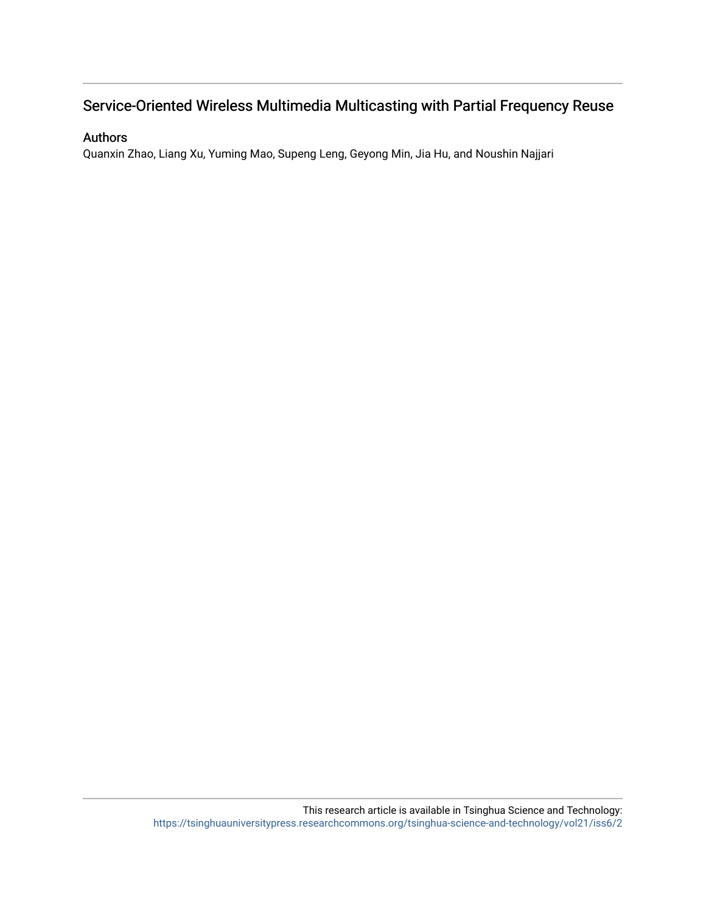## Service-Oriented Wireless Multimedia Multicasting with Partial Frequency Reuse

## Authors

Quanxin Zhao, Liang Xu, Yuming Mao, Supeng Leng, Geyong Min, Jia Hu, and Noushin Najjari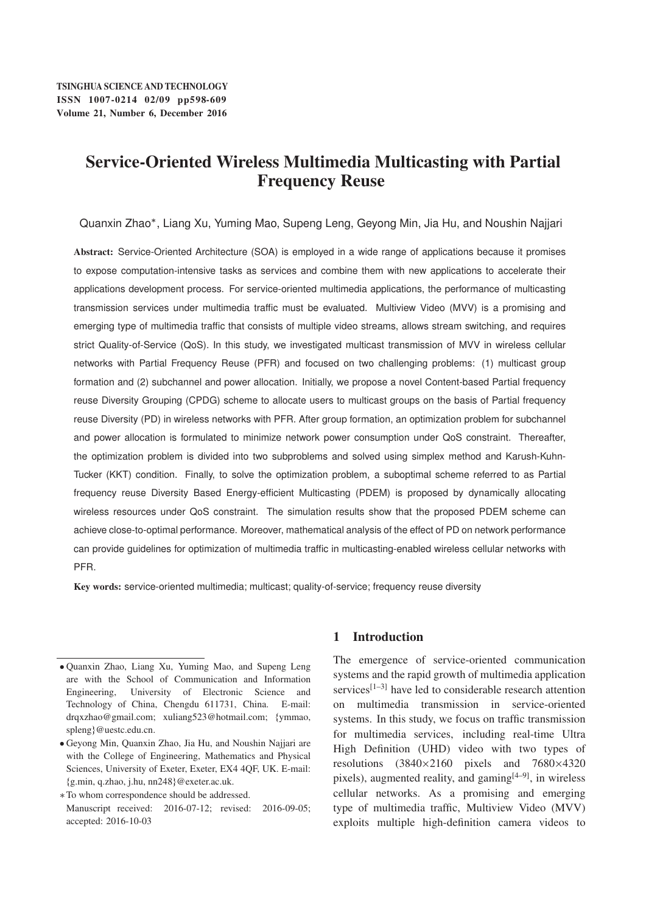TSINGHUA SCIENCE AND TECHNOLOGY ISSN 1007-0214 02/09 pp598-609 Volume 21, Number 6, December 2016

## Service-Oriented Wireless Multimedia Multicasting with Partial Frequency Reuse

Quanxin Zhao\*, Liang Xu, Yuming Mao, Supeng Leng, Geyong Min, Jia Hu, and Noushin Najjari

Abstract: Service-Oriented Architecture (SOA) is employed in a wide range of applications because it promises to expose computation-intensive tasks as services and combine them with new applications to accelerate their applications development process. For service-oriented multimedia applications, the performance of multicasting transmission services under multimedia traffic must be evaluated. Multiview Video (MVV) is a promising and emerging type of multimedia traffic that consists of multiple video streams, allows stream switching, and requires strict Quality-of-Service (QoS). In this study, we investigated multicast transmission of MVV in wireless cellular networks with Partial Frequency Reuse (PFR) and focused on two challenging problems: (1) multicast group formation and (2) subchannel and power allocation. Initially, we propose a novel Content-based Partial frequency reuse Diversity Grouping (CPDG) scheme to allocate users to multicast groups on the basis of Partial frequency reuse Diversity (PD) in wireless networks with PFR. After group formation, an optimization problem for subchannel and power allocation is formulated to minimize network power consumption under QoS constraint. Thereafter, the optimization problem is divided into two subproblems and solved using simplex method and Karush-Kuhn-Tucker (KKT) condition. Finally, to solve the optimization problem, a suboptimal scheme referred to as Partial frequency reuse Diversity Based Energy-efficient Multicasting (PDEM) is proposed by dynamically allocating wireless resources under QoS constraint. The simulation results show that the proposed PDEM scheme can achieve close-to-optimal performance. Moreover, mathematical analysis of the effect of PD on network performance can provide guidelines for optimization of multimedia traffic in multicasting-enabled wireless cellular networks with PFR.

Key words: service-oriented multimedia; multicast; quality-of-service; frequency reuse diversity

## 1 Introduction

The emergence of service-oriented communication systems and the rapid growth of multimedia application services<sup>[1–3]</sup> have led to considerable research attention on multimedia transmission in service-oriented systems. In this study, we focus on traffic transmission for multimedia services, including real-time Ultra High Definition (UHD) video with two types of resolutions  $(3840\times2160)$  pixels and  $7680\times4320$ pixels), augmented reality, and gaming<sup> $[4-9]$ </sup>, in wireless cellular networks. As a promising and emerging type of multimedia traffic, Multiview Video (MVV) exploits multiple high-definition camera videos to

Quanxin Zhao, Liang Xu, Yuming Mao, and Supeng Leng are with the School of Communication and Information Engineering, University of Electronic Science and Technology of China, Chengdu 611731, China. E-mail: drqxzhao@gmail.com; xuliang523@hotmail.com; fymmao, spleng}@uestc.edu.cn.

Geyong Min, Quanxin Zhao, Jia Hu, and Noushin Najjari are with the College of Engineering, Mathematics and Physical Sciences, University of Exeter, Exeter, EX4 4QF, UK. E-mail: {g.min, q.zhao, j.hu, nn248}@exeter.ac.uk.

To whom correspondence should be addressed. Manuscript received: 2016-07-12; revised: 2016-09-05; accepted: 2016-10-03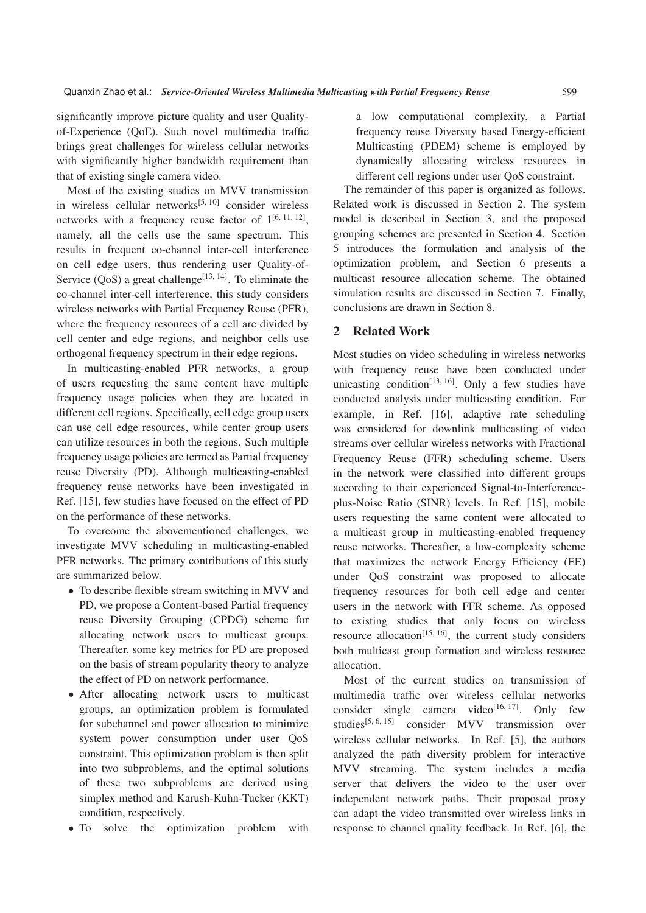significantly improve picture quality and user Qualityof-Experience (QoE). Such novel multimedia traffic brings great challenges for wireless cellular networks with significantly higher bandwidth requirement than that of existing single camera video.

Most of the existing studies on MVV transmission in wireless cellular networks $[5, 10]$  consider wireless networks with a frequency reuse factor of  $1^{[6, 11, 12]}$ , namely, all the cells use the same spectrum. This results in frequent co-channel inter-cell interference on cell edge users, thus rendering user Quality-of-Service (QoS) a great challenge<sup>[13, 14]</sup>. To eliminate the co-channel inter-cell interference, this study considers wireless networks with Partial Frequency Reuse (PFR), where the frequency resources of a cell are divided by cell center and edge regions, and neighbor cells use orthogonal frequency spectrum in their edge regions.

In multicasting-enabled PFR networks, a group of users requesting the same content have multiple frequency usage policies when they are located in different cell regions. Specifically, cell edge group users can use cell edge resources, while center group users can utilize resources in both the regions. Such multiple frequency usage policies are termed as Partial frequency reuse Diversity (PD). Although multicasting-enabled frequency reuse networks have been investigated in Ref. [15], few studies have focused on the effect of PD on the performance of these networks.

To overcome the abovementioned challenges, we investigate MVV scheduling in multicasting-enabled PFR networks. The primary contributions of this study are summarized below.

- To describe flexible stream switching in MVV and PD, we propose a Content-based Partial frequency reuse Diversity Grouping (CPDG) scheme for allocating network users to multicast groups. Thereafter, some key metrics for PD are proposed on the basis of stream popularity theory to analyze the effect of PD on network performance.
- After allocating network users to multicast groups, an optimization problem is formulated for subchannel and power allocation to minimize system power consumption under user QoS constraint. This optimization problem is then split into two subproblems, and the optimal solutions of these two subproblems are derived using simplex method and Karush-Kuhn-Tucker (KKT) condition, respectively.
- To solve the optimization problem with

a low computational complexity, a Partial frequency reuse Diversity based Energy-efficient Multicasting (PDEM) scheme is employed by dynamically allocating wireless resources in different cell regions under user QoS constraint.

The remainder of this paper is organized as follows. Related work is discussed in Section 2. The system model is described in Section 3, and the proposed grouping schemes are presented in Section 4. Section 5 introduces the formulation and analysis of the optimization problem, and Section 6 presents a multicast resource allocation scheme. The obtained simulation results are discussed in Section 7. Finally, conclusions are drawn in Section 8.

## 2 Related Work

Most studies on video scheduling in wireless networks with frequency reuse have been conducted under unicasting condition<sup>[13, 16]</sup>. Only a few studies have conducted analysis under multicasting condition. For example, in Ref. [16], adaptive rate scheduling was considered for downlink multicasting of video streams over cellular wireless networks with Fractional Frequency Reuse (FFR) scheduling scheme. Users in the network were classified into different groups according to their experienced Signal-to-Interferenceplus-Noise Ratio (SINR) levels. In Ref. [15], mobile users requesting the same content were allocated to a multicast group in multicasting-enabled frequency reuse networks. Thereafter, a low-complexity scheme that maximizes the network Energy Efficiency (EE) under QoS constraint was proposed to allocate frequency resources for both cell edge and center users in the network with FFR scheme. As opposed to existing studies that only focus on wireless resource allocation<sup>[15, 16]</sup>, the current study considers both multicast group formation and wireless resource allocation.

Most of the current studies on transmission of multimedia traffic over wireless cellular networks consider single camera video<sup>[16, 17]</sup>. Only few studies<sup>[5, 6, 15]</sup> consider MVV transmission over wireless cellular networks. In Ref. [5], the authors analyzed the path diversity problem for interactive MVV streaming. The system includes a media server that delivers the video to the user over independent network paths. Their proposed proxy can adapt the video transmitted over wireless links in response to channel quality feedback. In Ref. [6], the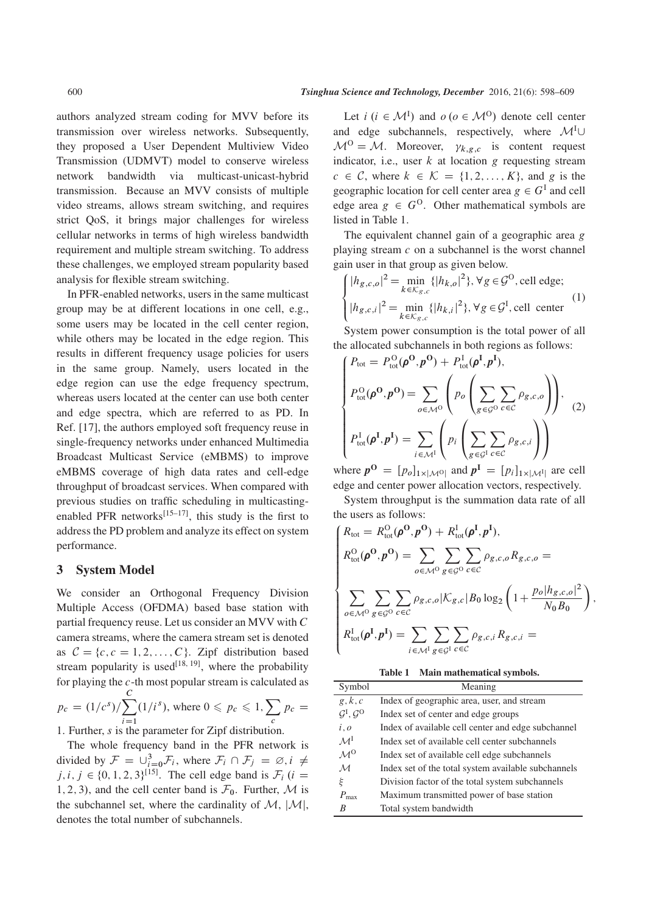authors analyzed stream coding for MVV before its transmission over wireless networks. Subsequently, they proposed a User Dependent Multiview Video Transmission (UDMVT) model to conserve wireless network bandwidth via multicast-unicast-hybrid transmission. Because an MVV consists of multiple video streams, allows stream switching, and requires strict QoS, it brings major challenges for wireless cellular networks in terms of high wireless bandwidth requirement and multiple stream switching. To address these challenges, we employed stream popularity based analysis for flexible stream switching.

In PFR-enabled networks, users in the same multicast group may be at different locations in one cell, e.g., some users may be located in the cell center region, while others may be located in the edge region. This results in different frequency usage policies for users in the same group. Namely, users located in the edge region can use the edge frequency spectrum, whereas users located at the center can use both center and edge spectra, which are referred to as PD. In Ref. [17], the authors employed soft frequency reuse in single-frequency networks under enhanced Multimedia Broadcast Multicast Service (eMBMS) to improve eMBMS coverage of high data rates and cell-edge throughput of broadcast services. When compared with previous studies on traffic scheduling in multicastingenabled PFR networks<sup>[15–17]</sup>, this study is the first to address the PD problem and analyze its effect on system performance.

## 3 System Model

We consider an Orthogonal Frequency Division Multiple Access (OFDMA) based base station with partial frequency reuse. Let us consider an MVV with C camera streams, where the camera stream set is denoted as  $C = \{c, c = 1, 2, \ldots, C\}$ . Zipf distribution based stream popularity is used<sup>[18, 19]</sup>, where the probability for playing the  $c$ -th most popular stream is calculated as Ċ.

$$
p_c = (1/c^s) / \sum_{i=1} (1/i^s)
$$
, where  $0 \le p_c \le 1$ ,  $\sum_{c} p_c =$ 

1. Further, s is the parameter for Zipf distribution.<br>The whole frequency hard in the PEP patwo

The whole frequency band in the PFR network is divided by  $\mathcal{F} = \bigcup_{i=0}^{3} \mathcal{F}_i$ , where  $\mathcal{F}_i \cap \mathcal{F}_j = \emptyset$ ,  $i \neq i$ ,  $i \in \{0, 1, 2, 3\}$  The call adge band is  $\mathcal{F}_i$ ,  $(i = 1, 2, 3)$  $j, i, j \in \{0, 1, 2, 3\}^{[15]}$ . The cell edge band is  $\mathcal{F}_i$  (i = 1, 2, 3), and the cell center band is  $\mathcal{F}_0$ . Further, M is the subchannel set, where the cardinality of  $\mathcal{M}, |\mathcal{M}|$ , denotes the total number of subchannels.

#### 600 *Tsinghua Science and Technology, December* 2016, 21(6): 598–609

Let  $i$   $(i \in M^I)$  and  $o$   $(o \in M^O)$  denote cell center and edge subchannels, respectively, where  $\mathcal{M}^I \cup$  $M^0 = M$ . Moreover,  $\gamma_{k,g,c}$  is content request indicator, i.e., user  $k$  at location  $g$  requesting stream  $c \in \mathcal{C}$ , where  $k \in \mathcal{K} = \{1, 2, \dots, K\}$ , and g is the geographic location for cell center area  $g \in G<sup>I</sup>$  and cell edge area  $g \in G^{\text{O}}$ . Other mathematical symbols are listed in Table 1.

The equivalent channel gain of a geographic area g playing stream  $c$  on a subchannel is the worst channel gain user in that group as given below.

$$
\begin{cases} |h_{g,c,o}|^2 = \min_{k \in K_{g,c}} \{ |h_{k,o}|^2 \}, \forall g \in \mathcal{G}^{\text{O}}, \text{cell edge;}\\ |h_{g,c,i}|^2 = \min_{k \in K_{g,c}} \{ |h_{k,i}|^2 \}, \forall g \in \mathcal{G}^{\text{I}}, \text{cell center} \end{cases} (1)
$$

System power consumption is the total power of all the allocated subchannels in both regions as follows:

$$
\begin{cases}\nP_{\text{tot}} = P_{\text{tot}}^{O}(\rho^{O}, p^{O}) + P_{\text{tot}}^{I}(\rho^{I}, p^{I}), \\
P_{\text{tot}}^{O}(\rho^{O}, p^{O}) = \sum_{o \in \mathcal{M}^{O}} \left( p_{o} \left( \sum_{g \in \mathcal{G}^{O}} \sum_{c \in \mathcal{C}} \rho_{g, c, o} \right) \right), \\
P_{\text{tot}}^{I}(\rho^{I}, p^{I}) = \sum_{i \in \mathcal{M}^{I}} \left( p_{i} \left( \sum_{g \in \mathcal{G}^{I}} \sum_{c \in \mathcal{C}} \rho_{g, c, i} \right) \right)\n\end{cases} (2)
$$

where  $p^{\mathbf{O}} = [p_o]_{1 \times |\mathcal{M}^{\mathbf{O}}|}$  and  $p^{\mathbf{I}} = [p_i]_{1 \times |\mathcal{M}^{\mathbf{I}}|}$  are cell edge and center power allocation vectors, respectively.

System throughput is the summation data rate of all the users as follows:

$$
\begin{cases}\nR_{\text{tot}} = R_{\text{tot}}^{\text{O}}(\boldsymbol{\rho}^{\text{O}}, \boldsymbol{p}^{\text{O}}) + R_{\text{tot}}^{\text{I}}(\boldsymbol{\rho}^{\text{I}}, \boldsymbol{p}^{\text{I}}), \\
R_{\text{tot}}^{\text{O}}(\boldsymbol{\rho}^{\text{O}}, \boldsymbol{p}^{\text{O}}) = \sum_{o \in \mathcal{M}^{\text{O}}} \sum_{g \in \mathcal{G}^{\text{O}}} \sum_{c \in \mathcal{C}} \rho_{g,c,o} R_{g,c,o} = \\
\sum_{o \in \mathcal{M}^{\text{O}}}\sum_{g \in \mathcal{G}^{\text{O}}} \sum_{c \in \mathcal{C}} \rho_{g,c,o} |K_{g,c} |B_0 \log_2 \left(1 + \frac{p_o |h_{g,c,o}|^2}{N_0 B_0}\right), \\
R_{\text{tot}}^{\text{I}}(\boldsymbol{\rho}^{\text{I}}, \boldsymbol{p}^{\text{I}}) = \sum_{i \in \mathcal{M}^{\text{I}}}\sum_{g \in \mathcal{G}^{\text{I}}} \sum_{c \in \mathcal{C}} \rho_{g,c,i} R_{g,c,i} = \\
\end{cases}
$$

| Table 1 |  | Main mathematical symbols. |  |
|---------|--|----------------------------|--|
|---------|--|----------------------------|--|

| Symbol                                        | Meaning                                             |
|-----------------------------------------------|-----------------------------------------------------|
| g, k, c                                       | Index of geographic area, user, and stream          |
| $\mathcal{G}^{\rm I}$ , $\mathcal{G}^{\rm O}$ | Index set of center and edge groups                 |
| i, o                                          | Index of available cell center and edge subchannel  |
| $\mathcal{M}^{\rm I}$                         | Index set of available cell center subchannels      |
| $\mathcal{M}^{\rm O}$                         | Index set of available cell edge subchannels        |
| $\mathcal M$                                  | Index set of the total system available subchannels |
| ξ                                             | Division factor of the total system subchannels     |
| $P_{\text{max}}$                              | Maximum transmitted power of base station           |
| B                                             | Total system bandwidth                              |
|                                               |                                                     |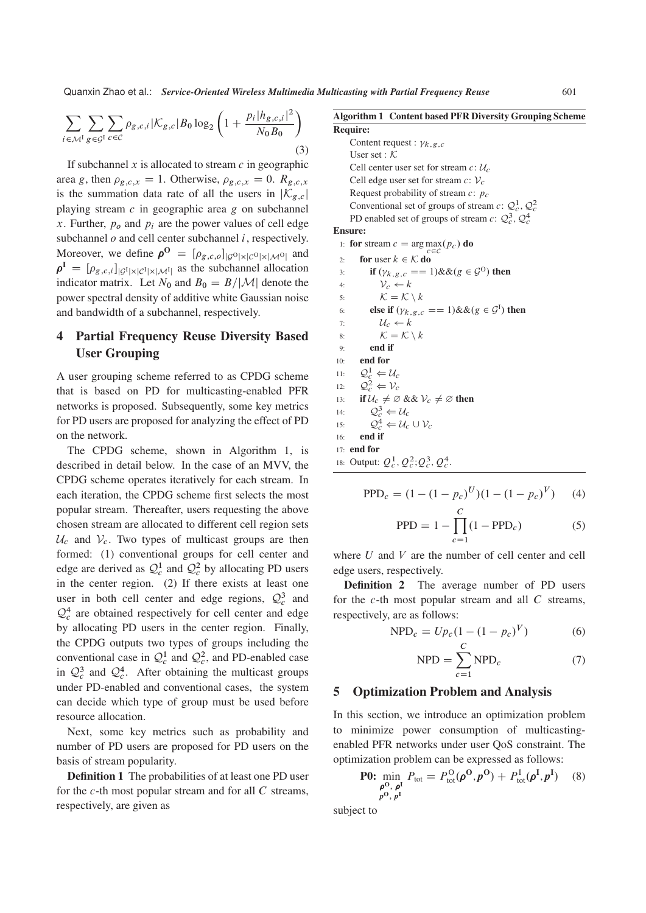$$
\sum_{i \in \mathcal{M}^1} \sum_{g \in \mathcal{G}^1} \sum_{c \in \mathcal{C}} \rho_{g,c,i} |K_{g,c}| B_0 \log_2 \left( 1 + \frac{p_i |h_{g,c,i}|^2}{N_0 B_0} \right) \tag{3}
$$

If subchannel  $x$  is allocated to stream  $c$  in geographic area g, then  $\rho_{g,c,x} = 1$ . Otherwise,  $\rho_{g,c,x} = 0$ .  $R_{g,c,x}$ is the summation data rate of all the users in  $|\mathcal{K}_{g,c}|$ playing stream  $c$  in geographic area  $g$  on subchannel x. Further,  $p<sub>o</sub>$  and  $p<sub>i</sub>$  are the power values of cell edge subchannel  $o$  and cell center subchannel  $i$ , respectively. Moreover, we define  $\rho^0 = [\rho_{g,c,o}]_{|g^0| \times |C^0| \times |M^0|}$  and  $\rho^I = [\rho_{g,c,i}]_{|\mathcal{G}^I| \times |\mathcal{C}^I| \times |\mathcal{M}^I|}$  as the subchannel allocation indicator matrix. Let  $N_0$  and  $B_0 = B/|\mathcal{M}|$  denote the power spectral density of additive white Gaussian noise and bandwidth of a subchannel, respectively.

## 4 Partial Frequency Reuse Diversity Based User Grouping

A user grouping scheme referred to as CPDG scheme that is based on PD for multicasting-enabled PFR networks is proposed. Subsequently, some key metrics for PD users are proposed for analyzing the effect of PD on the network.

The CPDG scheme, shown in Algorithm 1, is described in detail below. In the case of an MVV, the CPDG scheme operates iteratively for each stream. In each iteration, the CPDG scheme first selects the most popular stream. Thereafter, users requesting the above chosen stream are allocated to different cell region sets  $U_c$  and  $V_c$ . Two types of multicast groups are then formed: (1) conventional groups for cell center and edge are derived as  $Q_c^1$  and  $Q_c^2$  by allocating PD users<br>in the center region (2) If there exists at least and in the center region. (2) If there exists at least one user in both cell center and edge regions,  $Q_0^3$  and  $Q_1^4$  are obtained representingly for cell center and edge  $\mathcal{Q}_c^4$  are obtained respectively for cell center and edge<br>by ellecting PD years in the center region. Finally by allocating PD users in the center region. Finally, the CPDG outputs two types of groups including the conventional case in  $Q_c^1$  and  $Q_c^2$ , and PD-enabled case<br>in  $Q_3^3$  and  $Q_4^4$ . After obtaining the multicest groups in  $\mathcal{Q}_c^3$  and  $\mathcal{Q}_c^4$ . After obtaining the multicast groups under PD-enabled and conventional cases, the system can decide which type of group must be used before resource allocation.

Next, some key metrics such as probability and number of PD users are proposed for PD users on the basis of stream popularity.

Definition 1 The probabilities of at least one PD user for the  $c$ -th most popular stream and for all  $C$  streams, respectively, are given as

#### Algorithm 1 Content based PFR Diversity Grouping Scheme  $\overline{\mathbf{p}_{\alpha\alpha\text{min}}^{\mathbf{m}}}$

| Content request : $\gamma_{k,g,c}$                                         |  |  |
|----------------------------------------------------------------------------|--|--|
| User set : $K$                                                             |  |  |
| Cell center user set for stream $c: U_c$                                   |  |  |
| Cell edge user set for stream $c: V_c$                                     |  |  |
| Request probability of stream $c: p_c$                                     |  |  |
| Conventional set of groups of stream $c: \mathcal{Q}_c^1, \mathcal{Q}_c^2$ |  |  |
| PD enabled set of groups of stream $c: \mathcal{Q}_c^3, \mathcal{Q}_c^4$   |  |  |
| <b>Ensure:</b>                                                             |  |  |
| 1: for stream $c = \arg \max_{c \in C} (p_c)$ do                           |  |  |
| for user $k \in \mathcal{K}$ do<br>2:                                      |  |  |
| if $(\gamma_{k,g,c} == 1)$ & $\& (g \in \mathcal{G}^0)$ then<br>3:         |  |  |
| $\mathcal{V}_c \leftarrow k$<br>4:                                         |  |  |
| $\mathcal{K} = \mathcal{K} \setminus k$<br>5:                              |  |  |
| else if $(\gamma_{k,g,c} == 1) \& \& (g \in \mathcal{G}^I)$ then<br>6:     |  |  |
| $\mathcal{U}_c \leftarrow k$<br>7:                                         |  |  |
| $\mathcal{K} = \mathcal{K} \setminus k$<br>8:                              |  |  |
| end if<br>9:                                                               |  |  |
| 10: end for                                                                |  |  |
| 11: $\mathcal{Q}_c^1 \Leftarrow \mathcal{U}_c$                             |  |  |
| 12: $Q_e^2 \leftarrow V_c$                                                 |  |  |
| if $U_c \neq \emptyset$ && $V_c \neq \emptyset$ then<br>13:                |  |  |
| $\mathcal{Q}_c^3 \Leftarrow \mathcal{U}_c$<br>14:                          |  |  |
| $\mathcal{Q}_c^4 \leftarrow \mathcal{U}_c \cup \mathcal{V}_c$<br>15:       |  |  |
| end if<br>16:                                                              |  |  |
| $17:$ end for                                                              |  |  |
| 18: Output: $Q_c^1$ , $Q_c^2$ ; $Q_c^3$ , $Q_c^4$ .                        |  |  |
|                                                                            |  |  |

$$
PPD_c = (1 - (1 - p_c)^U)(1 - (1 - p_c)^V) \tag{4}
$$

$$
PPD = 1 - \prod_{c=1}^{r} (1 - PPD_c)
$$
 (5)

where  $U$  and  $V$  are the number of cell center and cell edge users, respectively.

Definition 2 The average number of PD users for the  $c$ -th most popular stream and all  $C$  streams, respectively, are as follows:

$$
NPD_c = Up_c(1 - (1 - p_c)^V)
$$
 (6)

$$
NPD = \sum_{c=1}^{C} NPD_c \tag{7}
$$

#### 5 Optimization Problem and Analysis

In this section, we introduce an optimization problem to minimize power consumption of multicastingenabled PFR networks under user QoS constraint. The optimization problem can be expressed as follows:

**P0:** min 
$$
\rho_{tot}^0 = P_{tot}^0(\rho^0, p^0) + P_{tot}^1(\rho^I, p^I)
$$
 (8)  
 $\rho^0, \rho^I$ 

subject to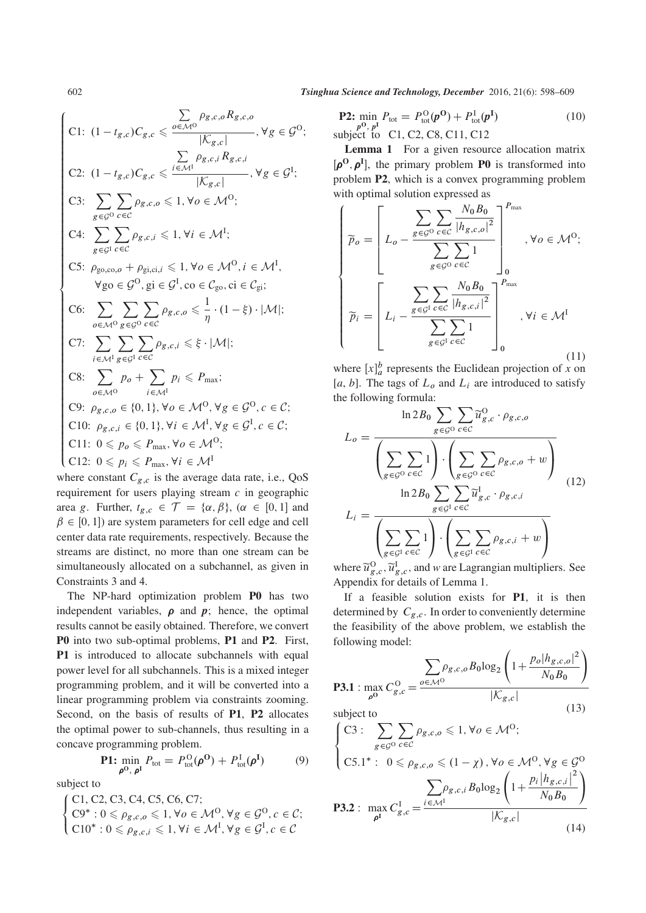$$
\begin{cases}\nC1: (1-t_{g,c})C_{g,c} \leq \frac{\sum\limits_{o \in \mathcal{M}^0} \rho_{g,c,o} R_{g,c,o}}{|K_{g,c}|}, \forall g \in \mathcal{G}^0; \\
C2: (1-t_{g,c})C_{g,c} \leq \frac{\sum\limits_{i \in \mathcal{M}^1} \rho_{g,c,i} R_{g,c,i}}{|K_{g,c}|}, \forall g \in \mathcal{G}^1; \\
C3: \sum_{g \in \mathcal{G}^0} \sum_{c \in \mathcal{C}} \rho_{g,c,o} \leq 1, \forall o \in \mathcal{M}^0; \\
C4: \sum_{g \in \mathcal{G}^1} \sum_{c \in \mathcal{C}} \rho_{g,c,i} \leq 1, \forall i \in \mathcal{M}^1; \\
\text{C5: } \rho_{go,co,o} + \rho_{gi,ci,i} \leq 1, \forall o \in \mathcal{M}^0, i \in \mathcal{M}^1, \\
\forall g_0 \in \mathcal{G}^0, gi \in \mathcal{G}^1, co \in \mathcal{C}_{go}, ci \in \mathcal{C}_{gi}; \\
C6: \sum_{o \in \mathcal{M}^0} \sum_{g \in \mathcal{G}^0} \sum_{c \in \mathcal{C}} \rho_{g,c,o} \leq \frac{1}{\eta} \cdot (1-\xi) \cdot |\mathcal{M}|; \\
C7: \sum_{i \in \mathcal{M}^1} \sum_{g \in \mathcal{G}^1} \sum_{c \in \mathcal{C}} \rho_{g,c,i} \leq \xi \cdot |\mathcal{M}|; \\
C8: \sum_{o \in \mathcal{M}^0} p_o + \sum_{i \in \mathcal{M}^1} p_i \leq P_{\text{max}}; \\
\text{C9: } \rho_{g,c,o} \in \{0, 1\}, \forall o \in \mathcal{M}^0, \forall g \in \mathcal{G}^0, c \in \mathcal{C}; \\
C10: \rho_{g,c,i} \in \{0, 1\}, \forall i \in \mathcal{M}^1, \forall g \in \mathcal{G}^1, c \in \mathcal{C}; \\
C11: 0 \leq p_o \leq P_{\text{max}}, \forall o \in \mathcal{M}^0; \\
C2: 0 \leq p_i \leq P_{\text{max}}, \forall i \in \mathcal{M}
$$

where constant  $C_{g,c}$  is the average data rate, i.e., QoS requirement for users playing stream a in geographic requirement for users playing stream  $c$  in geographic area g. Further,  $t_{g,c} \in \mathcal{T} = {\alpha, \beta}$ ,  $\alpha \in [0, 1]$  and  $\beta \in [0, 1]$  are system parameters for cell edge and cell center data rate requirements, respectively. Because the streams are distinct, no more than one stream can be simultaneously allocated on a subchannel, as given in Constraints 3 and 4.

The NP-hard optimization problem P0 has two independent variables,  $\rho$  and  $p$ ; hence, the optimal results cannot be easily obtained. Therefore, we convert P0 into two sub-optimal problems, P1 and P2. First, P1 is introduced to allocate subchannels with equal power level for all subchannels. This is a mixed integer programming problem, and it will be converted into a linear programming problem via constraints zooming. Second, on the basis of results of P1, P2 allocates the optimal power to sub-channels, thus resulting in a concave programming problem.

$$
\mathbf{P1:} \min_{\boldsymbol{\rho}^{\mathbf{O}}, \, \boldsymbol{\rho}^{\mathbf{I}}} P_{\text{tot}} = P_{\text{tot}}^{\mathbf{O}}(\boldsymbol{\rho}^{\mathbf{O}}) + P_{\text{tot}}^{\mathbf{I}}(\boldsymbol{\rho}^{\mathbf{I}})
$$
(9)

subject to

 $\sqrt{2}$  $\left\vert \right\vert$  $\mathcal{L}$ C1, C2, C3, C4, C5, C6, C7;<br>
C9<sup>\*</sup> : 0  $\leq \rho_{g,c,o} \leq 1$ ,  $\forall o \in \mathcal{M}^0$ ,  $\forall g \in \mathcal{G}^0$ ,  $c \in \mathcal{C}$ ;<br>
C10<sup>\*</sup> : 0  $\leq \rho_{g,c,i} \leq 1$ ,  $\forall i \in \mathcal{M}^I$ ,  $\forall g \in \mathcal{G}^I$ ,  $c \in \mathcal{C}$ 

**P2:**  $\min_{p^{\text{O}}, p^{\text{I}}} P_{\text{tot}} = P_{\text{tot}}^{\text{O}}(p^{\text{O}}) + P_{\text{tot}}^{\text{I}}(p^{\text{I}})$ subject to C1, C2, C8, C11, C12  $(10)$ 

Lemma 1 For a given resource allocation matrix  $[\rho^{\mathbf{O}}, \rho^{\mathbf{I}}]$ , the primary problem **P0** is transformed into<br>problem **P2**, which is a convex programming problem problem P2, which is a convex programming problem with optimal solution expressed as

$$
\widetilde{p}_{o} = \left[ L_{o} - \frac{\sum_{g \in \mathcal{G}^{0}} \sum_{c \in \mathcal{C}} \frac{N_{0} B_{0}}{|h_{g,c,o}|^{2}}}{\sum_{g \in \mathcal{G}^{0}} \sum_{c \in \mathcal{C}} 1} \right]_{0}^{P_{\text{max}}}, \forall o \in \mathcal{M}^{0};
$$
\n
$$
\widetilde{p}_{i} = \left[ L_{i} - \frac{\sum_{g \in \mathcal{G}^{1}} \sum_{c \in \mathcal{C}} \frac{N_{0} B_{0}}{|h_{g,c,i}|^{2}}}{\sum_{g \in \mathcal{G}^{1}} \sum_{c \in \mathcal{C}} 1} \right]_{0}^{P_{\text{max}}}, \forall i \in \mathcal{M}^{1}
$$
\n(11)

where  $[x]_a^b$  represents the Euclidean projection of *x* on  $[a, b]$ . The tags of *I* and *I* are introduced to satisfy [ $a, b$ ]. The tags of  $L_0$  and  $L_i$  are introduced to satisfy the following formula:

$$
L_o = \frac{\ln 2B_0 \sum_{g \in \mathcal{G}^0} \sum_{c \in \mathcal{C}} \widetilde{u}_{g,c}^0 \cdot \rho_{g,c,o}}{\left(\sum_{g \in \mathcal{G}^0} \sum_{c \in \mathcal{C}} 1\right) \cdot \left(\sum_{g \in \mathcal{G}^0} \sum_{c \in \mathcal{C}} \rho_{g,c,o} + w\right)}
$$
\n
$$
\ln 2B_0 \sum_{g \in \mathcal{G}^1} \sum_{c \in \mathcal{C}} \widetilde{u}_{g,c}^1 \cdot \rho_{g,c,i}
$$
\n
$$
L_i = \frac{\sum_{g \in \mathcal{G}^1} \sum_{c \in \mathcal{C}} \widetilde{u}_{g,c}^1 \cdot \rho_{g,c,i}}{\left(\sum_{g \in \mathcal{G}^1} \sum_{c \in \mathcal{C}} \sum_{c \in \mathcal{C}} \rho_{g,c,i} + w\right)}
$$
\n
$$
L_i = \frac{\sum_{g \in \mathcal{G}^1} \sum_{c \in \mathcal{C}} \rho_{g,c,i}}{\left(\sum_{g \in \mathcal{G}^1} \sum_{c \in \mathcal{C}} \rho_{g,c,i} + w\right)}
$$
\n
$$
L_i = \frac{\sum_{g \in \mathcal{G}^1} \sum_{c \in \mathcal{C}} \rho_{g,c,i}}{\left(\sum_{g \in \mathcal{G}^1} \sum_{c \in \mathcal{C}} \rho_{g,c,i} + w\right)}
$$
\n
$$
L_i = \frac{\sum_{g \in \mathcal{G}^1} \sum_{c \in \mathcal{C}} \rho_{g,c,i}}{\sum_{g \in \mathcal{G}^1} \sum_{c \in \mathcal{C}} \rho_{g,c,i}} \cdot \rho_{g,c,i}
$$
\n(12)

where  $\widetilde{u}_{g,c}^0$ ,  $\widetilde{u}_{g,c}^I$ , and *w* are Lagrangian multipliers. See Appendix for details of Lemma 1.

If a feasible solution exists for P1, it is then determined by  $C_{g,c}$ . In order to conveniently determine the feasibility of the above problem, we establish the following model:

$$
\mathbf{P3.1}: \max_{\rho \theta} C_{g,c}^{\Omega} = \frac{\sum_{o \in \mathcal{M}^{\Omega}} \rho_{g,c,o} B_0 \log_2 \left(1 + \frac{p_o |h_{g,c,o}|^2}{N_0 B_0}\right)}{|\mathcal{K}_{g,c}|}
$$
\nsubject to

\n
$$
(13)
$$

$$
\begin{cases}\nC3: \sum_{g \in \mathcal{G}^0} \sum_{c \in \mathcal{C}} \rho_{g,c,o} \leq 1, \forall o \in \mathcal{M}^0; \\
C5.1^*: 0 \leq \rho_{g,c,o} \leq (1 - \chi), \forall o \in \mathcal{M}^0, \forall g \in \mathcal{G}^0 \\
\sum_{\rho^I} \rho_{g,c,i} B_0 \log_2 \left(1 + \frac{p_i |h_{g,c,i}|^2}{N_0 B_0}\right)\n\end{cases}
$$
\nP3.2: max  $C_{g,c}^1 = \frac{i \in \mathcal{M}^1}{|K_{g,c}|}$  (14)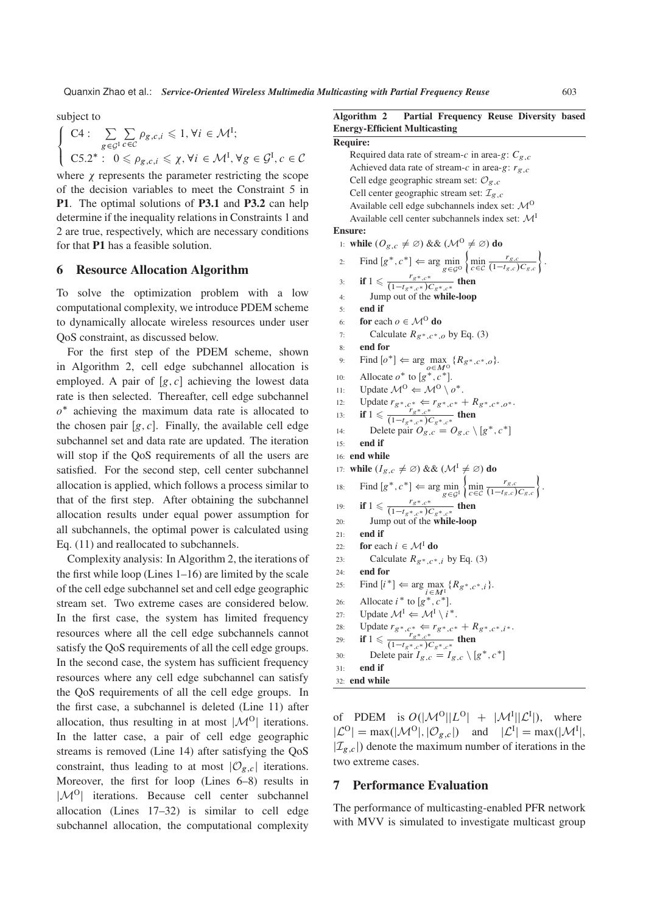subject to

$$
\begin{cases} C4: \sum_{g \in \mathcal{G}^1} \sum_{c \in \mathcal{C}} \rho_{g,c,i} \leq 1, \forall i \in \mathcal{M}^I; \\ C5.2^*: 0 \leq \rho_{g,c,i} \leq \chi, \forall i \in \mathcal{M}^I, \forall g \in \mathcal{G}^I, c \in \mathcal{C} \end{cases}
$$

where  $\chi$  represents the parameter restricting the scope<br>of the decision variables to meet the Constraint 5 in of the decision variables to meet the Constraint 5 in P1. The optimal solutions of P3.1 and P3.2 can help determine if the inequality relations in Constraints 1 and 2 are true, respectively, which are necessary conditions for that P1 has a feasible solution.

## 6 Resource Allocation Algorithm

To solve the optimization problem with a low computational complexity, we introduce PDEM scheme to dynamically allocate wireless resources under user QoS constraint, as discussed below.

For the first step of the PDEM scheme, shown in Algorithm 2, cell edge subchannel allocation is employed. A pair of  $[g, c]$  achieving the lowest data rate is then selected. Thereafter, cell edge subchannel  $o^*$  achieving the maximum data rate is allocated to<br>the chosen pair  $[a, a]$ . Finally, the available call adopt the chosen pair  $[g, c]$ . Finally, the available cell edge subchannel set and data rate are updated. The iteration will stop if the QoS requirements of all the users are satisfied. For the second step, cell center subchannel allocation is applied, which follows a process similar to that of the first step. After obtaining the subchannel allocation results under equal power assumption for all subchannels, the optimal power is calculated using Eq. (11) and reallocated to subchannels.

Complexity analysis: In Algorithm 2, the iterations of the first while loop (Lines 1–16) are limited by the scale of the cell edge subchannel set and cell edge geographic stream set. Two extreme cases are considered below. In the first case, the system has limited frequency resources where all the cell edge subchannels cannot satisfy the QoS requirements of all the cell edge groups. In the second case, the system has sufficient frequency resources where any cell edge subchannel can satisfy the QoS requirements of all the cell edge groups. In the first case, a subchannel is deleted (Line 11) after allocation, thus resulting in at most  $|\mathcal{M}^O|$  iterations. In the latter case, a pair of cell edge geographic streams is removed (Line 14) after satisfying the QoS constraint, thus leading to at most  $|\mathcal{O}_{g,c}|$  iterations. Moreover, the first for loop (Lines 6–8) results in  $|\mathcal{M}^{\text{O}}|$  iterations. Because cell center subchannel allocation (Lines 17–32) is similar to cell edge subchannel allocation, the computational complexity

#### Algorithm 2 Partial Frequency Reuse Diversity based Energy-Efficient Multicasting

Require:

Required data rate of stream-c in area-g:  $C_{g,c}$ Achieved data rate of stream-c in area-g:  $r_{g,c}$ Cell edge geographic stream set:  $\mathcal{O}_{g,c}$ Cell center geographic stream set:  $\mathcal{I}_{g,c}$ Available cell edge subchannels index set:  $\mathcal{M}^{O}$ Available cell center subchannels index set:  $\mathcal{M}^I$ Ensure:

1: while  $(Q_{\alpha,\alpha} \neq \emptyset)$  &&  $(M^0 \neq \emptyset)$  do

1. **while** 
$$
(\sigma_{g,c} \neq \infty)
$$
  $\&$   $\&$   $\&$   $\sigma_{g \in G^0}$   $\left\{\min \frac{r_{g,c}}{(1-t_{g,e})C_{g,c}}\right\}$ .  
\n2. **Find**  $[g^*, c^*] \Leftarrow \arg \min_{g \in G^0} \left\{\min \frac{r_{g,c}}{(1-t_{g,e})C_{g,c}}\right\}$ .  
\n3. **if**  $1 \leq \frac{r_{g^*,c^*}}{(1-t_{g^*,c^*})C_{g^*,c^*}}$  **then**  
\n4. **Jump out of the while-loop**  
\n5. **end if**  
\n6. **for each**  $\sigma \in \mathcal{M}^0$  **do**  
\n7. **Calculate**  $R_{g^*,c^*,o}$  by Eq. (3)  
\n8. **end for**  
\n9. **Find**  $[\sigma^*] \Leftarrow \arg \max_{\sigma \in \mathcal{M}^0} \{R_{g^*,c^*,o}\}$ .  
\n10. **Allocate**  $\sigma^*$  to  $[g^*, c^*]$ .  
\n11. **Update**  $\mathcal{M}^0 \Leftarrow \mathcal{M}^0 \setminus \sigma^*$ .  
\n12. **Update**  $r_{g^*,c^*} \Leftarrow r_{g^*,c^*} + R_{g^*,c^*,o^*}$ .  
\n13. **if**  $1 \leq \frac{r_{g^*,c^*}}{(1-t_{g^*,c^*})C_{g^*,c^*}}$  **then**  
\n14. **Delete** pair  $O_{g,c} = O_{g,c} \setminus [g^*,c^*]$   
\n15. **end if**  
\n16. **end while**  
\n17. **while**  $(I_{g,c} \neq \emptyset)$  &&  $(\mathcal{M}^1 \neq \emptyset)$  **do**  
\n18. **Find**  $[g^*, c^*] \Leftarrow \arg \min_{g \in G^1} \left\{\min \$ 

of PDEM is  $O(|\mathcal{M}^0||L^0| + |\mathcal{M}^1||\mathcal{L}^1|)$ , where  $|\mathcal{L}^0| = \max(|\mathcal{M}^0|, |\mathcal{O}_{g,c}|)$  and  $|\mathcal{L}^I| = \max(|\mathcal{M}^I|$ <br> $|\mathcal{I}^I|$  denote the maximum number of iterations in the  $|\mathcal{I}_{g,c}|$  denote the maximum number of iterations in the two extreme cases.

## 7 Performance Evaluation

The performance of multicasting-enabled PFR network with MVV is simulated to investigate multicast group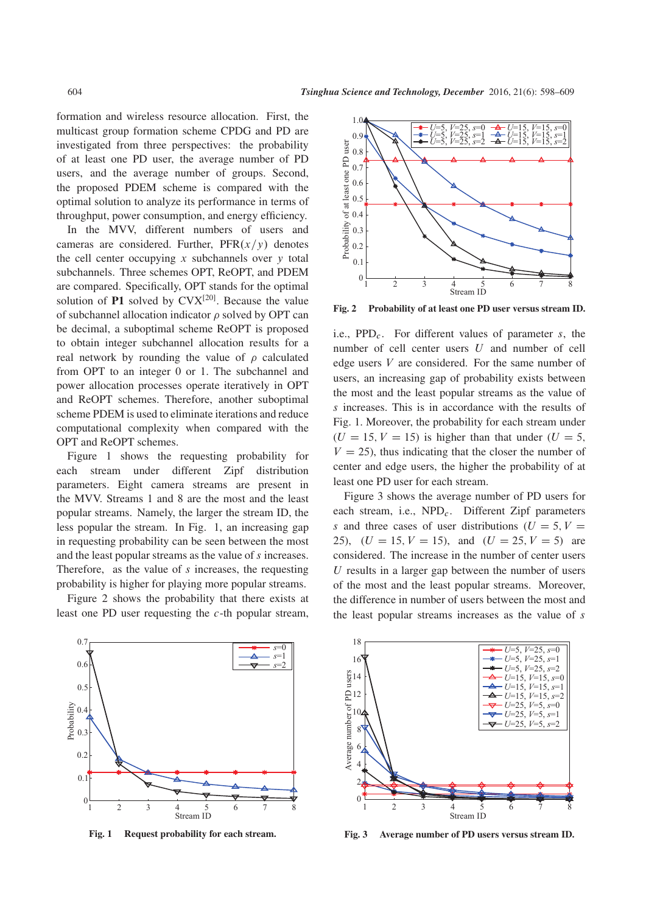formation and wireless resource allocation. First, the multicast group formation scheme CPDG and PD are investigated from three perspectives: the probability of at least one PD user, the average number of PD users, and the average number of groups. Second, the proposed PDEM scheme is compared with the optimal solution to analyze its performance in terms of throughput, power consumption, and energy efficiency.

In the MVV, different numbers of users and cameras are considered. Further,  $PFR(x/y)$  denotes the cell center occupying x subchannels over  $\nu$  total subchannels. Three schemes OPT, ReOPT, and PDEM are compared. Specifically, OPT stands for the optimal solution of  $P1$  solved by CVX<sup>[20]</sup>. Because the value of subchannel allocation indicator  $\rho$  solved by OPT can be decimal, a suboptimal scheme ReOPT is proposed to obtain integer subchannel allocation results for a real network by rounding the value of  $\rho$  calculated from OPT to an integer 0 or 1. The subchannel and power allocation processes operate iteratively in OPT and ReOPT schemes. Therefore, another suboptimal scheme PDEM is used to eliminate iterations and reduce computational complexity when compared with the OPT and ReOPT schemes.

Figure 1 shows the requesting probability for each stream under different Zipf distribution parameters. Eight camera streams are present in the MVV. Streams 1 and 8 are the most and the least popular streams. Namely, the larger the stream ID, the less popular the stream. In Fig. 1, an increasing gap in requesting probability can be seen between the most and the least popular streams as the value of s increases. Therefore, as the value of s increases, the requesting probability is higher for playing more popular streams.

Figure 2 shows the probability that there exists at least one PD user requesting the c-th popular stream,



Fig. 1 Request probability for each stream.



Fig. 2 Probability of at least one PD user versus stream ID.

i.e.,  $PPD<sub>c</sub>$ . For different values of parameter s, the number of cell center users  $U$  and number of cell edge users  $V$  are considered. For the same number of users, an increasing gap of probability exists between the most and the least popular streams as the value of s increases. This is in accordance with the results of Fig. 1. Moreover, the probability for each stream under  $(U = 15, V = 15)$  is higher than that under  $(U = 5,$  $V = 25$ , thus indicating that the closer the number of center and edge users, the higher the probability of at least one PD user for each stream.

Figure 3 shows the average number of PD users for each stream, i.e.,  $NPD_c$ . Different Zipf parameters s and three cases of user distributions ( $U = 5, V =$ 25),  $(U = 15, V = 15)$ , and  $(U = 25, V = 5)$  are considered. The increase in the number of center users  $U$  results in a larger gap between the number of users of the most and the least popular streams. Moreover, the difference in number of users between the most and the least popular streams increases as the value of s



Fig. 3 Average number of PD users versus stream ID.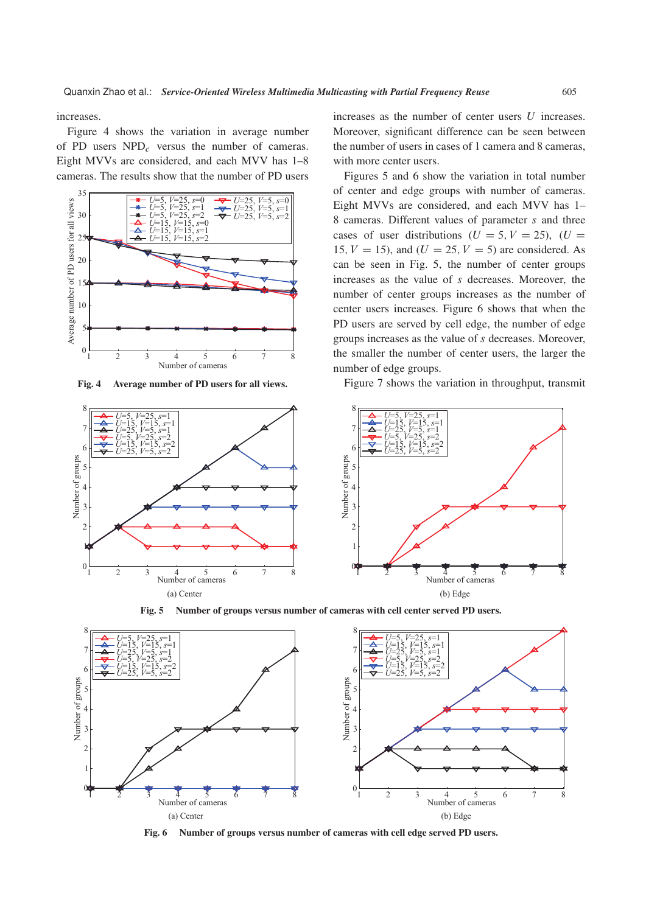increases.

Figure 4 shows the variation in average number of PD users  $NPD_c$  versus the number of cameras. Eight MVVs are considered, and each MVV has 1–8 cameras. The results show that the number of PD users



Fig. 4 Average number of PD users for all views.

- $2 \t3 \t4 \t5 \t6 \t7 \t8$ <br>Number of cameras  $\boldsymbol{0}$ -2 a  $\overline{A}$  and  $\overline{A}$  and  $\overline{A}$  and  $\overline{A}$  and  $\overline{A}$  and  $\overline{A}$  and  $\overline{A}$  and  $\overline{A}$  and  $\overline{A}$  and  $\overline{A}$  and  $\overline{A}$  and  $\overline{A}$  and  $\overline{A}$  and  $\overline{A}$  and  $\overline{A}$  and  $\overline{A}$  and  $\overline{A}$  3 <del>X V V V V</del> 9 4 **2 <del>3 3 4 4</del> 5 4** 5 4  $5$   $\overline{\cancel{2}}$   $\overline{\cancel{3}}$   $\overline{\cancel{2}}$   $\overline{\cancel{3}}$   $\overline{\cancel{2}}$   $\overline{\cancel{3}}$   $\overline{\cancel{2}}$   $\overline{\cancel{2}}$   $\overline{\cancel{2}}$   $\overline{\cancel{2}}$   $\overline{\cancel{2}}$   $\overline{\cancel{2}}$   $\overline{\cancel{2}}$   $\overline{\cancel{2}}$   $\overline{\cancel{2}}$   $\overline{\cancel{2}}$   $\overline{\cancel{2}}$   $\overline{\cancel{2}}$   $\overline{\cancel{2}}$   $\overline{\cancel{2$  $6\left[\frac{1}{2}\right]$   $\frac{1}{2}$   $\frac{1}{2}$   $\frac{5}{2}$   $\frac{1}{2}$   $\frac{5}{2}$   $\frac{2}{2}$   $\frac{1}{2}$   $\frac{5}{2}$   $\frac{2}{2}$   $\frac{1}{2}$   $\frac{5}{2}$   $\frac{1}{2}$   $\frac{5}{2}$   $\frac{1}{2}$   $\frac{5}{2}$   $\frac{1}{2}$   $\frac{5}{2}$   $\frac{1}{2}$   $\frac{1}{2}$   $\frac{1}{2}$   $\frac{1}{$  $7||\overrightarrow{A}|| = \frac{1}{25}$ ,  $V = 5$ ,  $S = 1$  $8 \fbox{array}$  8 Number of groups *-* $=5, V=25, s=1$ *-* $=1$  $\frac{5}{2}$ ,  $\frac{V=1}{2}$  $S^{\circ}$ *-* $=25, V=5, s=1$ *-* $=5, V=25, s=2$ *-* $=1$  $\frac{5}{2}$ ,  $\frac{V-1}{2}$  $5, s=2$ *-* $=25, V=5, s=2$ 

Fig. 5 Number of groups versus number of cameras with cell center served PD users.



Fig. 6 Number of groups versus number of cameras with cell edge served PD users.

increases as the number of center users U increases. Moreover, significant difference can be seen between the number of users in cases of 1 camera and 8 cameras, with more center users.

Figures 5 and 6 show the variation in total number of center and edge groups with number of cameras. Eight MVVs are considered, and each MVV has 1– 8 cameras. Different values of parameter s and three cases of user distributions  $(U = 5, V = 25)$ ,  $(U =$ 15,  $V = 15$ ), and ( $U = 25$ ,  $V = 5$ ) are considered. As can be seen in Fig. 5, the number of center groups increases as the value of s decreases. Moreover, the number of center groups increases as the number of center users increases. Figure 6 shows that when the PD users are served by cell edge, the number of edge groups increases as the value of s decreases. Moreover, the smaller the number of center users, the larger the number of edge groups.

Figure 7 shows the variation in throughput, transmit

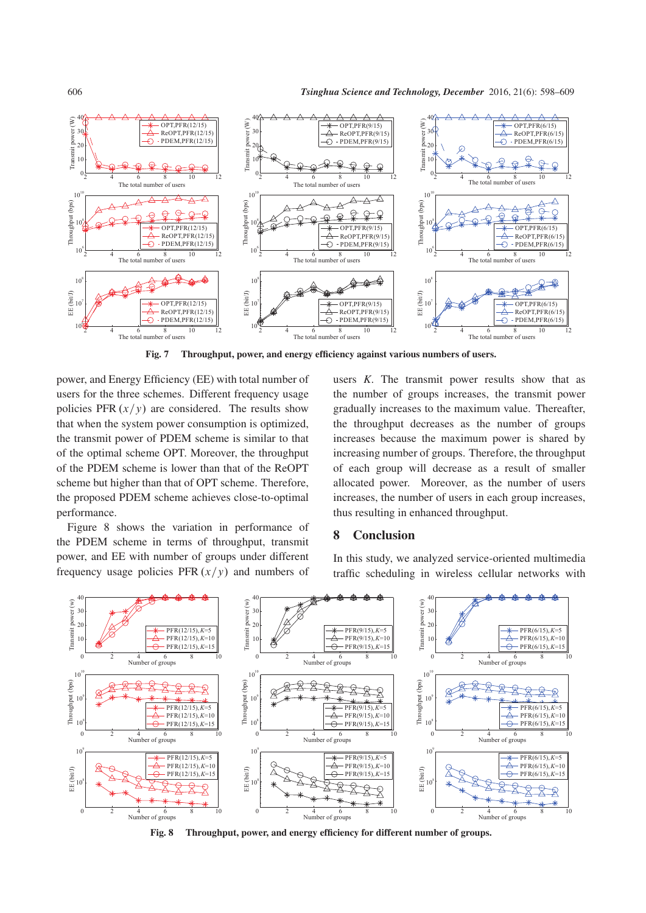

Fig. 7 Throughput, power, and energy efficiency against various numbers of users.

power, and Energy Efficiency (EE) with total number of users for the three schemes. Different frequency usage policies PFR $(x/y)$  are considered. The results show that when the system power consumption is optimized, the transmit power of PDEM scheme is similar to that of the optimal scheme OPT. Moreover, the throughput of the PDEM scheme is lower than that of the ReOPT scheme but higher than that of OPT scheme. Therefore, the proposed PDEM scheme achieves close-to-optimal performance.

Figure 8 shows the variation in performance of the PDEM scheme in terms of throughput, transmit power, and EE with number of groups under different frequency usage policies PFR $(x/y)$  and numbers of users *K*. The transmit power results show that as the number of groups increases, the transmit power gradually increases to the maximum value. Thereafter, the throughput decreases as the number of groups increases because the maximum power is shared by increasing number of groups. Therefore, the throughput of each group will decrease as a result of smaller allocated power. Moreover, as the number of users increases, the number of users in each group increases, thus resulting in enhanced throughput.

## 8 Conclusion

In this study, we analyzed service-oriented multimedia traffic scheduling in wireless cellular networks with



Fig. 8 Throughput, power, and energy efficiency for different number of groups.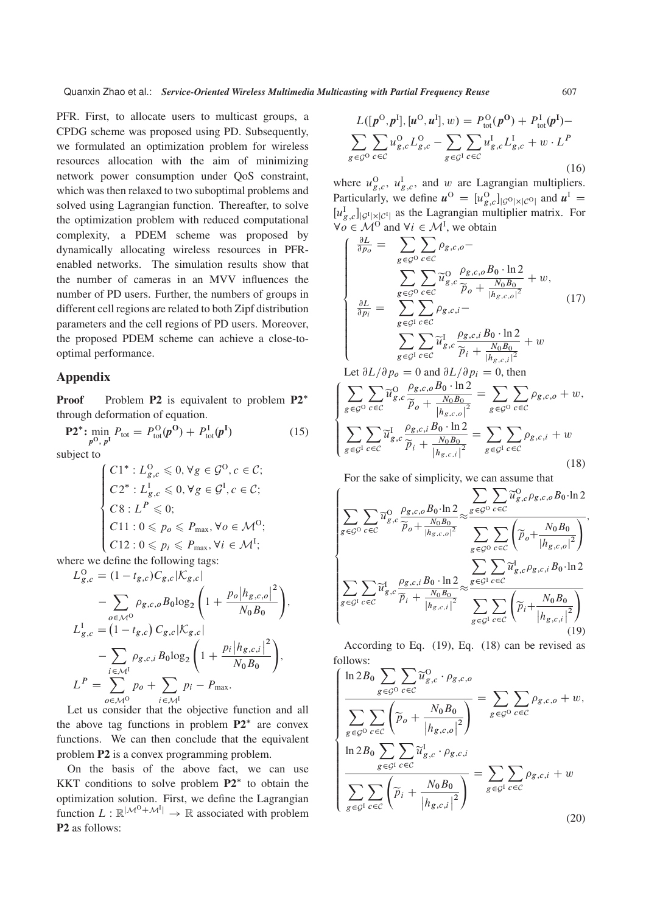Quanxin Zhao et al.: *Service-Oriented Wireless Multimedia Multicasting with Partial Frequency Reuse* 607

PFR. First, to allocate users to multicast groups, a CPDG scheme was proposed using PD. Subsequently, we formulated an optimization problem for wireless resources allocation with the aim of minimizing network power consumption under QoS constraint, which was then relaxed to two suboptimal problems and solved using Lagrangian function. Thereafter, to solve the optimization problem with reduced computational complexity, a PDEM scheme was proposed by dynamically allocating wireless resources in PFRenabled networks. The simulation results show that the number of cameras in an MVV influences the number of PD users. Further, the numbers of groups in different cell regions are related to both Zipf distribution parameters and the cell regions of PD users. Moreover, the proposed PDEM scheme can achieve a close-tooptimal performance.

## Appendix

**Proof** Problem **P2** is equivalent to problem  $P2^*$ through deformation of equation.

$$
\mathbf{P2}^* : \min_{p^{\mathbf{O}}, p^{\mathbf{I}}} P_{\text{tot}} = P_{\text{tot}}^{\mathbf{O}}(p^{\mathbf{O}}) + P_{\text{tot}}^{\mathbf{I}}(p^{\mathbf{I}})
$$
(15)

subject to

$$
\begin{cases}\nC1^* : L_{g,c}^0 \leq 0, \forall g \in \mathcal{G}^0, c \in \mathcal{C}; \\
C2^* : L_{g,c}^1 \leq 0, \forall g \in \mathcal{G}^1, c \in \mathcal{C}; \\
C8 : L^P \leq 0; \\
C11 : 0 \leq p_o \leq P_{\text{max}}, \forall o \in \mathcal{M}^0; \\
C12 : 0 \leq p_i \leq P_{\text{max}}, \forall i \in \mathcal{M}^1; \\
\text{where we define the following tags:}\n\end{cases}
$$

$$
L_{g,c}^{O} = (1 - t_{g,c})C_{g,c} |K_{g,c}|
$$
  
- 
$$
\sum_{o \in \mathcal{M}^{O}} \rho_{g,c,o} B_0 \log_2 \left(1 + \frac{p_o |h_{g,c,o}|^2}{N_0 B_0}\right),
$$
  

$$
L_{g,c}^{I} = (1 - t_{g,c}) C_{g,c} |K_{g,c}|
$$
  
- 
$$
\sum_{i \in \mathcal{M}^{I}} \rho_{g,c,i} B_0 \log_2 \left(1 + \frac{p_i |h_{g,c,i}|^2}{N_0 B_0}\right),
$$
  

$$
L^P = \sum_{o \in \mathcal{M}^{O}} p_o + \sum_{i \in \mathcal{M}^{I}} p_i - P_{\text{max}}.
$$

Let us consider that the objective function and all the above tag functions in problem  $P2^*$  are convex functions. We can then conclude that the equivalent problem P2 is a convex programming problem.

On the basis of the above fact, we can use KKT conditions to solve problem  $P2^*$  to obtain the optimization solution. First, we define the Lagrangian function  $L : \mathbb{R}^{|\mathcal{M}^0 + \mathcal{M}^1|} \to \mathbb{R}$  associated with problem<br>**P2** as follows: P2 as follows:

$$
L([p^{O}, p^{I}], [u^{O}, u^{I}], w) = P_{tot}^{O}(p^{O}) + P_{tot}^{I}(p^{I}) - \sum_{g \in \mathcal{G}^{I}} \sum_{c \in \mathcal{C}} u_{g,c}^{O} L_{g,c}^{O} - \sum_{g \in \mathcal{G}^{I}} \sum_{c \in \mathcal{C}} u_{g,c}^{I} L_{g,c}^{I} + w \cdot L^{P}
$$
\n(16)

where  $u_{g,c}^0$ ,  $u_{g,c}^1$ , and w are Lagrangian multipliers.<br>Pertiaularly we define  $u^0 = [u^0]$  is a send  $u^1$ Particularly, we define  $u^O = [u^O_{g,c}]_{|G^O| \times |C^O|}$  and  $u^I =$  $[u_{g,c}^I]_{\mathcal{G}^I|\times|\mathcal{C}^I|}$  as the Lagrangian multiplier matrix. For  $\forall g \in \mathcal{M}^O$  and  $\forall i \in \mathcal{M}^I$  we obtain  $\forall o \in \mathcal{M}^O$  and  $\forall i \in \mathcal{M}^I$ , we obtain

$$
\begin{cases}\n\frac{\partial L}{\partial p_o} = \sum_{g \in \mathcal{G}^0} \sum_{c \in \mathcal{C}} \rho_{g,c,o} - \\
\sum_{g \in \mathcal{G}^0} \sum_{c \in \mathcal{C}} \widetilde{u}_{g,c}^0 \frac{\rho_{g,c,o} B_0 \cdot \ln 2}{\widetilde{p}_o + \frac{N_0 B_0}{|h_{g,c,o}|^2}} + w, \\
\frac{\partial L}{\partial p_i} = \sum_{g \in \mathcal{G}^1} \sum_{c \in \mathcal{C}} \rho_{g,c,i} - \\
\sum_{g \in \mathcal{G}^1} \sum_{c \in \mathcal{C}} \widetilde{u}_{g,c}^1 \frac{\rho_{g,c,i} B_0 \cdot \ln 2}{\widetilde{p}_i + \frac{N_0 B_0}{|h_{g,c,i}|^2}} + w\n\end{cases} (17)
$$

Let  $\partial L/\partial p_{o} = 0$  and  $\partial L/\partial p_{i} = 0$ , then  $g \circ \rho_{\alpha} \circ g_0 \cdot \ln 2$ 

$$
\begin{cases}\n\sum_{g \in \mathcal{G}^0} \sum_{c \in \mathcal{C}} \widetilde{u}_{g,c}^0 \frac{\rho_{g,c,o} B_0 \cdot \ln 2}{\widetilde{p}_o + \frac{N_0 B_0}{|h_{g,c,o}|^2}} = \sum_{g \in \mathcal{G}^0} \sum_{c \in \mathcal{C}} \rho_{g,c,o} + w, \\
\sum_{g \in \mathcal{G}^1} \sum_{c \in \mathcal{C}} \widetilde{u}_{g,c}^1 \frac{\rho_{g,c,i} B_0 \cdot \ln 2}{\widetilde{p}_i + \frac{N_0 B_0}{|h_{g,c,i}|^2}} = \sum_{g \in \mathcal{G}^1} \sum_{c \in \mathcal{C}} \rho_{g,c,i} + w\n\end{cases} (18)
$$

For the sake of simplicity, we can assume that

$$
\begin{cases}\n\sum_{g \in \mathcal{G}^0} \sum_{c \in \mathcal{C}} \widetilde{u}_{g,c}^0 \frac{\rho_{g,c,o} B_0 \cdot \ln 2}{\widetilde{p}_o + \frac{N_0 B_0}{|h_{g,c,o}|^2}} \approx \frac{\sum_{g \in \mathcal{G}^0} \sum_{c \in \mathcal{C}} \widetilde{u}_{g,c}^0 \rho_{g,c,o} B_0 \cdot \ln 2}{\sum_{g \in \mathcal{G}^0} \sum_{c \in \mathcal{C}} \left(\widetilde{p}_o + \frac{N_0 B_0}{|h_{g,c,o}|^2}\right)}, \\
\sum_{g \in \mathcal{G}^1} \sum_{c \in \mathcal{C}} \widetilde{u}_{g,c}^1 \frac{\rho_{g,c,i} B_0 \cdot \ln 2}{\widetilde{p}_i + \frac{N_0 B_0}{|h_{g,c,i}|^2}} \approx \frac{\sum_{g \in \mathcal{G}^1} \sum_{c \in \mathcal{C}} \widetilde{u}_{g,c}^1 \rho_{g,c,i} B_0 \cdot \ln 2}{\sum_{g \in \mathcal{G}^1} \sum_{c \in \mathcal{C}} \left(\widetilde{p}_i + \frac{N_0 B_0}{|h_{g,c,i}|^2}\right)}\n\end{cases}
$$
\n(19)

According to Eq. (19), Eq. (18) can be revised as follows:

$$
\begin{cases}\n\ln 2B_0 \sum_{g \in \mathcal{G}^0} \sum_{c \in \mathcal{C}} \widetilde{u}_{g,c}^0 \cdot \rho_{g,c,o} \\
\frac{\sum_{g \in \mathcal{G}^0} \sum_{c \in \mathcal{C}} \widetilde{p}_o + \frac{N_0 B_0}{|h_{g,c,o}|^2}}{\left| \widetilde{p}_{g,c,o} \right|} = \sum_{g \in \mathcal{G}^0} \sum_{c \in \mathcal{C}} \rho_{g,c,o} + w, \\
\ln 2B_0 \sum_{g \in \mathcal{G}^1} \sum_{c \in \mathcal{C}} \widetilde{u}_{g,c}^1 \cdot \rho_{g,c,i} \\
\frac{\sum_{g \in \mathcal{G}^1} \sum_{c \in \mathcal{C}} \left(\widetilde{p}_i + \frac{N_0 B_0}{|h_{g,c,i}|^2}\right)}{\left| \widetilde{p}_{g,c,i} \right|^2}\n\end{cases} = \sum_{g \in \mathcal{G}^1} \sum_{c \in \mathcal{C}} \rho_{g,c,i} + w
$$
\n(20)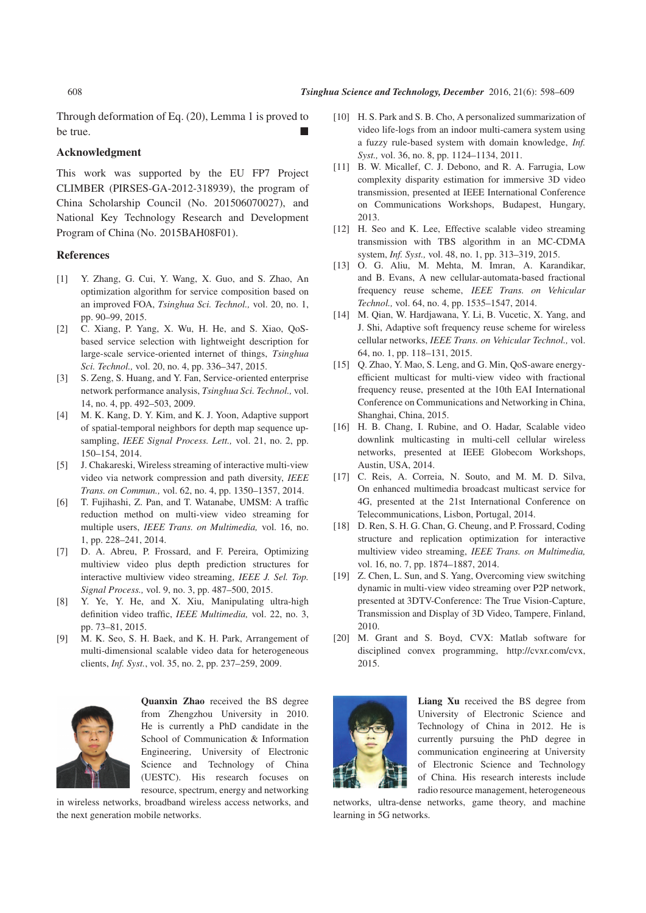Through deformation of Eq. (20), Lemma 1 is proved to be true. be true.

## Acknowledgment

This work was supported by the EU FP7 Project CLIMBER (PIRSES-GA-2012-318939), the program of China Scholarship Council (No. 201506070027), and National Key Technology Research and Development Program of China (No. 2015BAH08F01).

#### References

- [1] Y. Zhang, G. Cui, Y. Wang, X. Guo, and S. Zhao, An optimization algorithm for service composition based on an improved FOA, *Tsinghua Sci. Technol.,* vol. 20, no. 1, pp. 90–99, 2015.
- [2] C. Xiang, P. Yang, X. Wu, H. He, and S. Xiao, QoSbased service selection with lightweight description for large-scale service-oriented internet of things, *Tsinghua Sci. Technol.,* vol. 20, no. 4, pp. 336–347, 2015.
- [3] S. Zeng, S. Huang, and Y. Fan, Service-oriented enterprise network performance analysis, *Tsinghua Sci. Technol.,* vol. 14, no. 4, pp. 492–503, 2009.
- [4] M. K. Kang, D. Y. Kim, and K. J. Yoon, Adaptive support of spatial-temporal neighbors for depth map sequence upsampling, *IEEE Signal Process. Lett.,* vol. 21, no. 2, pp. 150–154, 2014.
- [5] J. Chakareski, Wireless streaming of interactive multi-view video via network compression and path diversity, *IEEE Trans. on Commun.,* vol. 62, no. 4, pp. 1350–1357, 2014.
- [6] T. Fujihashi, Z. Pan, and T. Watanabe, UMSM: A traffic reduction method on multi-view video streaming for multiple users, *IEEE Trans. on Multimedia,* vol. 16, no. 1, pp. 228–241, 2014.
- [7] D. A. Abreu, P. Frossard, and F. Pereira, Optimizing multiview video plus depth prediction structures for interactive multiview video streaming, *IEEE J. Sel. Top. Signal Process.,* vol. 9, no. 3, pp. 487–500, 2015.
- [8] Y. Ye, Y. He, and X. Xiu, Manipulating ultra-high definition video traffic, *IEEE Multimedia,* vol. 22, no. 3, pp. 73–81, 2015.
- [9] M. K. Seo, S. H. Baek, and K. H. Park, Arrangement of multi-dimensional scalable video data for heterogeneous clients, *Inf. Syst.*, vol. 35, no. 2, pp. 237–259, 2009.



Quanxin Zhao received the BS degree from Zhengzhou University in 2010. He is currently a PhD candidate in the School of Communication & Information Engineering, University of Electronic Science and Technology of China (UESTC). His research focuses on resource, spectrum, energy and networking

in wireless networks, broadband wireless access networks, and the next generation mobile networks.

- [10] H. S. Park and S. B. Cho, A personalized summarization of video life-logs from an indoor multi-camera system using a fuzzy rule-based system with domain knowledge, *Inf. Syst.,* vol. 36, no. 8, pp. 1124–1134, 2011.
- [11] B. W. Micallef, C. J. Debono, and R. A. Farrugia, Low complexity disparity estimation for immersive 3D video transmission, presented at IEEE International Conference on Communications Workshops, Budapest, Hungary, 2013.
- [12] H. Seo and K. Lee, Effective scalable video streaming transmission with TBS algorithm in an MC-CDMA system, *Inf. Syst.,* vol. 48, no. 1, pp. 313–319, 2015.
- [13] O. G. Aliu, M. Mehta, M. Imran, A. Karandikar, and B. Evans, A new cellular-automata-based fractional frequency reuse scheme, *IEEE Trans. on Vehicular Technol.,* vol. 64, no. 4, pp. 1535–1547, 2014.
- [14] M. Qian, W. Hardjawana, Y. Li, B. Vucetic, X. Yang, and J. Shi, Adaptive soft frequency reuse scheme for wireless cellular networks, *IEEE Trans. on Vehicular Technol.,* vol. 64, no. 1, pp. 118–131, 2015.
- [15] Q. Zhao, Y. Mao, S. Leng, and G. Min, QoS-aware energyefficient multicast for multi-view video with fractional frequency reuse, presented at the 10th EAI International Conference on Communications and Networking in China, Shanghai, China, 2015.
- [16] H. B. Chang, I. Rubine, and O. Hadar, Scalable video downlink multicasting in multi-cell cellular wireless networks, presented at IEEE Globecom Workshops, Austin, USA, 2014.
- [17] C. Reis, A. Correia, N. Souto, and M. M. D. Silva, On enhanced multimedia broadcast multicast service for 4G, presented at the 21st International Conference on Telecommunications, Lisbon, Portugal, 2014.
- [18] D. Ren, S. H. G. Chan, G. Cheung, and P. Frossard, Coding structure and replication optimization for interactive multiview video streaming, *IEEE Trans. on Multimedia,* vol. 16, no. 7, pp. 1874–1887, 2014.
- [19] Z. Chen, L. Sun, and S. Yang, Overcoming view switching dynamic in multi-view video streaming over P2P network, presented at 3DTV-Conference: The True Vision-Capture, Transmission and Display of 3D Video, Tampere, Finland, 2010.
- [20] M. Grant and S. Boyd, CVX: Matlab software for disciplined convex programming, http://cvxr.com/cvx, 2015.



Liang Xu received the BS degree from University of Electronic Science and Technology of China in 2012. He is currently pursuing the PhD degree in communication engineering at University of Electronic Science and Technology of China. His research interests include radio resource management, heterogeneous

networks, ultra-dense networks, game theory, and machine learning in 5G networks.